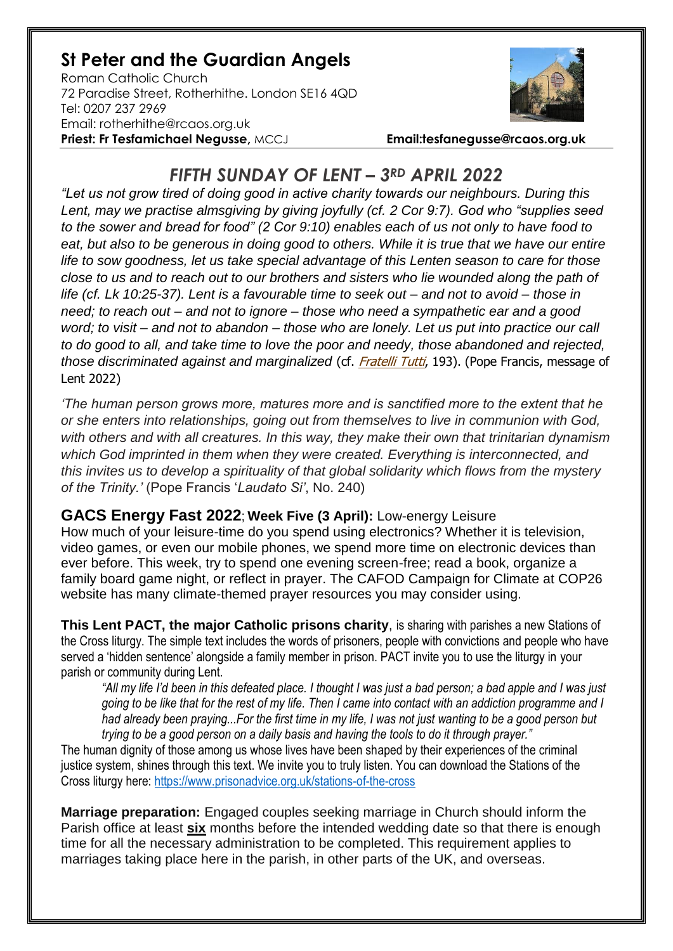## **St Peter and the Guardian Angels**

Roman Catholic Church 72 Paradise Street, Rotherhithe. London SE16 4QD [Tel: 0207](tel:0207) 237 2969 Email: rotherhithe@rcaos.org.uk **Priest: Fr Tesfamichael Negusse,** MCCJ **Email:tesfanegusse@rcaos.org.uk**



## *FIFTH SUNDAY OF LENT – 3RD APRIL 2022*

*"Let us not grow tired of doing good in active charity towards our neighbours. During this Lent, may we practise almsgiving by giving joyfully (cf. 2 Cor 9:7). God who "supplies seed to the sower and bread for food" (2 Cor 9:10) enables each of us not only to have food to eat, but also to be generous in doing good to others. While it is true that we have our entire life to sow goodness, let us take special advantage of this Lenten season to care for those close to us and to reach out to our brothers and sisters who lie wounded along the path of life (cf. Lk 10:25-37). Lent is a favourable time to seek out – and not to avoid – those in need; to reach out – and not to ignore – those who need a sympathetic ear and a good word; to visit – and not to abandon – those who are lonely. Let us put into practice our call to do good to all, and take time to love the poor and needy, those abandoned and rejected, those discriminated against and marginalized* (cf. [Fratelli Tutti](https://www.vatican.va/content/francesco/en/encyclicals/documents/papa-francesco_20201003_enciclica-fratelli-tutti.html), 193). (Pope Francis, message of Lent 2022)

*'The human person grows more, matures more and is sanctified more to the extent that he or she enters into relationships, going out from themselves to live in communion with God, with others and with all creatures. In this way, they make their own that trinitarian dynamism which God imprinted in them when they were created. Everything is interconnected, and this invites us to develop a spirituality of that global solidarity which flows from the mystery of the Trinity.'* (Pope Francis '*Laudato Si'*, No. 240)

## **GACS Energy Fast 2022**; **Week Five (3 April):** Low-energy Leisure

How much of your leisure-time do you spend using electronics? Whether it is television, video games, or even our mobile phones, we spend more time on electronic devices than ever before. This week, try to spend one evening screen-free; read a book, organize a family board game night, or reflect in prayer. The CAFOD Campaign for Climate at COP26 website has many climate-themed prayer resources you may consider using.

**This Lent PACT, the major Catholic prisons charity**, is sharing with parishes a new Stations of the Cross liturgy. The simple text includes the words of prisoners, people with convictions and people who have served a 'hidden sentence' alongside a family member in prison. PACT invite you to use the liturgy in your parish or community during Lent.

*"All my life I'd been in this defeated place. I thought I was just a bad person; a bad apple and I was just going to be like that for the rest of my life. Then I came into contact with an addiction programme and I had already been praying...For the first time in my life, I was not just wanting to be a good person but trying to be a good person on a daily basis and having the tools to do it through prayer."*

The human dignity of those among us whose lives have been shaped by their experiences of the criminal justice system, shines through this text. We invite you to truly listen. You can download the Stations of the Cross liturgy here:<https://www.prisonadvice.org.uk/stations-of-the-cross>

**Marriage preparation:** Engaged couples seeking marriage in Church should inform the Parish office at least **six** months before the intended wedding date so that there is enough time for all the necessary administration to be completed. This requirement applies to marriages taking place here in the parish, in other parts of the UK, and overseas.